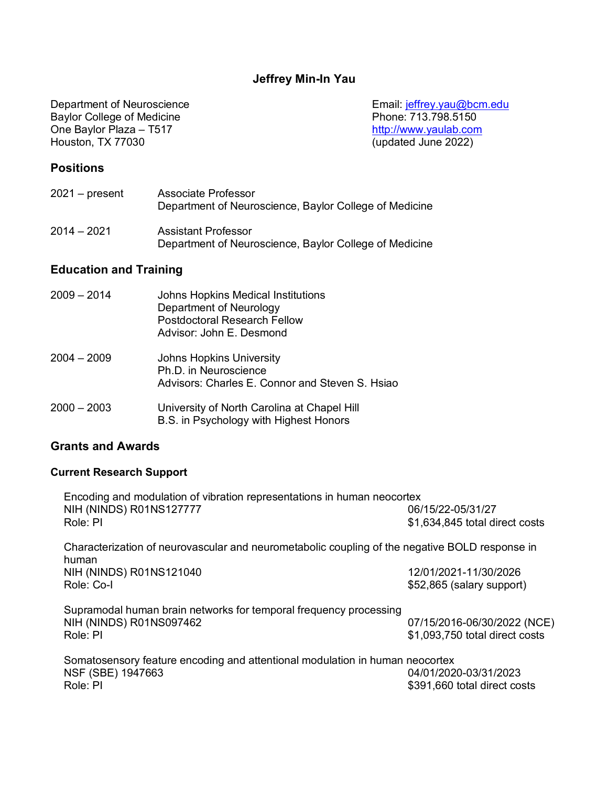# **Jeffrey Min-In Yau**

Department of Neuroscience, Baylor College of Medicine

Baylor College of Medicine **Phone: 713.798.5150** One Baylor Plaza – T517 http://www.yaulab.com Houston, TX 77030

Department of Neuroscience<br>
Baylor College of Medicine<br>
Email: jeffrey.yau@bcm.edu<br>
Phone: 713.798.5150

# **Positions**

| $2021 - present$ | Associate Professor<br>Department of Neuroscience, Baylor College of Medicine |
|------------------|-------------------------------------------------------------------------------|
| $2014 - 2021$    | <b>Assistant Professor</b>                                                    |

# **Education and Training**

| 2009 – 2014 | Johns Hopkins Medical Institutions<br>Department of Neurology<br><b>Postdoctoral Research Fellow</b><br>Advisor: John E. Desmond |
|-------------|----------------------------------------------------------------------------------------------------------------------------------|
| 2004 – 2009 | <b>Johns Hopkins University</b><br>Ph.D. in Neuroscience<br>Advisors: Charles E. Connor and Steven S. Hsiao                      |
| 2000 – 2003 | University of North Carolina at Chapel Hill<br>B.S. in Psychology with Highest Honors                                            |

# **Grants and Awards**

# **Current Research Support**

| Encoding and modulation of vibration representations in human neocortex<br>NIH (NINDS) R01NS127777<br>Role: PI | 06/15/22-05/31/27<br>\$1,634,845 total direct costs           |
|----------------------------------------------------------------------------------------------------------------|---------------------------------------------------------------|
| Characterization of neurovascular and neurometabolic coupling of the negative BOLD response in                 |                                                               |
| human<br>NIH (NINDS) R01NS121040<br>Role: Co-I                                                                 | 12/01/2021-11/30/2026<br>\$52,865 (salary support)            |
| Supramodal human brain networks for temporal frequency processing<br>NIH (NINDS) R01NS097462<br>Role: PI       | 07/15/2016-06/30/2022 (NCE)<br>\$1,093,750 total direct costs |
| Somatosensory feature encoding and attentional modulation in human neocortex<br>NSF (SBE) 1947663<br>Role: PI  | 04/01/2020-03/31/2023<br>\$391,660 total direct costs         |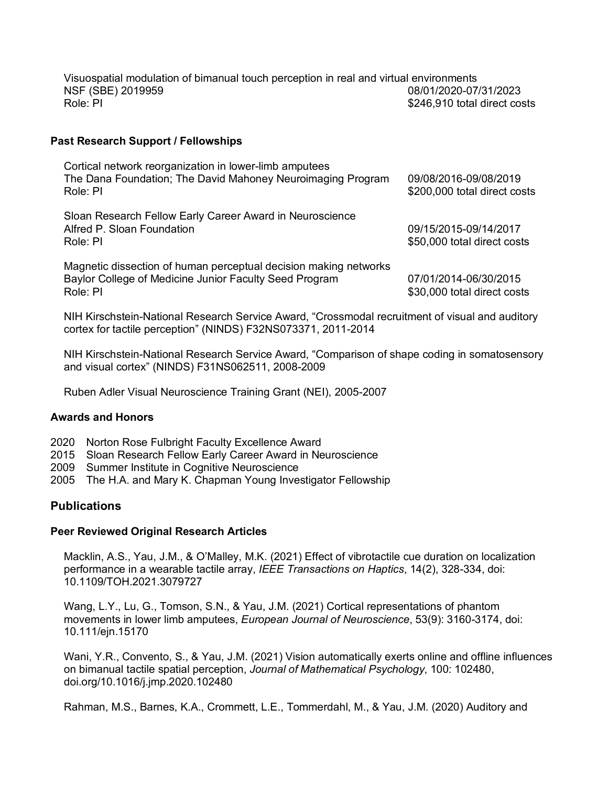Visuospatial modulation of bimanual touch perception in real and virtual environments NSF (SBE) 2019959 08/01/2020-07/31/2023 Role: PI  $\sim$  8246.910 total direct costs

## **Past Research Support / Fellowships**

| Cortical network reorganization in lower-limb amputees<br>The Dana Foundation; The David Mahoney Neuroimaging Program<br>Role: PI      | 09/08/2016-09/08/2019<br>\$200,000 total direct costs |
|----------------------------------------------------------------------------------------------------------------------------------------|-------------------------------------------------------|
| Sloan Research Fellow Early Career Award in Neuroscience<br>Alfred P. Sloan Foundation<br>Role: PI                                     | 09/15/2015-09/14/2017<br>\$50,000 total direct costs  |
| Magnetic dissection of human perceptual decision making networks<br>Baylor College of Medicine Junior Faculty Seed Program<br>Role: PI | 07/01/2014-06/30/2015<br>\$30,000 total direct costs  |

NIH Kirschstein-National Research Service Award, "Crossmodal recruitment of visual and auditory cortex for tactile perception" (NINDS) F32NS073371, 2011-2014

NIH Kirschstein-National Research Service Award, "Comparison of shape coding in somatosensory and visual cortex" (NINDS) F31NS062511, 2008-2009

Ruben Adler Visual Neuroscience Training Grant (NEI), 2005-2007

### **Awards and Honors**

- 2020 Norton Rose Fulbright Faculty Excellence Award
- 2015 Sloan Research Fellow Early Career Award in Neuroscience
- 2009 Summer Institute in Cognitive Neuroscience
- 2005 The H.A. and Mary K. Chapman Young Investigator Fellowship

# **Publications**

### **Peer Reviewed Original Research Articles**

Macklin, A.S., Yau, J.M., & O'Malley, M.K. (2021) Effect of vibrotactile cue duration on localization performance in a wearable tactile array, *IEEE Transactions on Haptics*, 14(2), 328-334, doi: 10.1109/TOH.2021.3079727

Wang, L.Y., Lu, G., Tomson, S.N., & Yau, J.M. (2021) Cortical representations of phantom movements in lower limb amputees, *European Journal of Neuroscience*, 53(9): 3160-3174, doi: 10.111/ejn.15170

Wani, Y.R., Convento, S., & Yau, J.M. (2021) Vision automatically exerts online and offline influences on bimanual tactile spatial perception, *Journal of Mathematical Psychology*, 100: 102480, doi.org/10.1016/j.jmp.2020.102480

Rahman, M.S., Barnes, K.A., Crommett, L.E., Tommerdahl, M., & Yau, J.M. (2020) Auditory and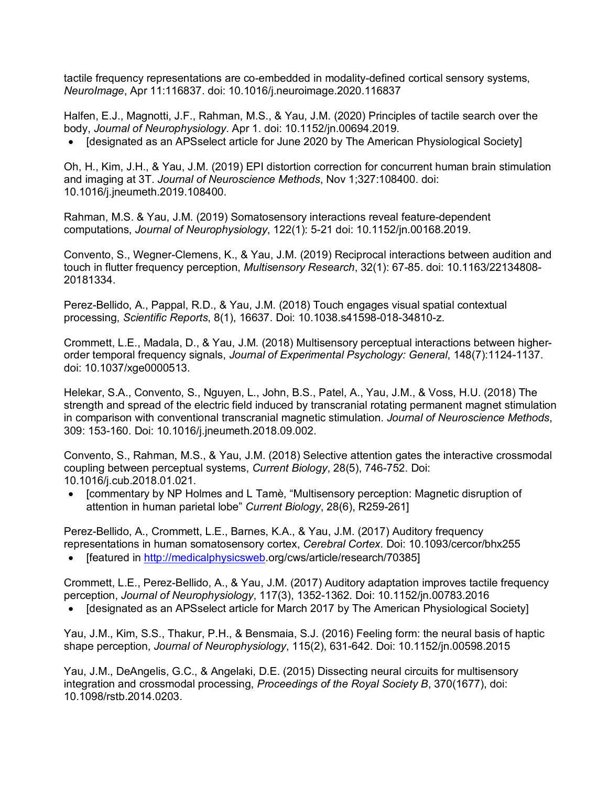tactile frequency representations are co-embedded in modality-defined cortical sensory systems, *NeuroImage*, Apr 11:116837. doi: 10.1016/j.neuroimage.2020.116837

Halfen, E.J., Magnotti, J.F., Rahman, M.S., & Yau, J.M. (2020) Principles of tactile search over the body, *Journal of Neurophysiology*. Apr 1. doi: 10.1152/jn.00694.2019.

• [designated as an APSselect article for June 2020 by The American Physiological Society]

Oh, H., Kim, J.H., & Yau, J.M. (2019) EPI distortion correction for concurrent human brain stimulation and imaging at 3T. *Journal of Neuroscience Methods*, Nov 1;327:108400. doi: 10.1016/j.jneumeth.2019.108400.

Rahman, M.S. & Yau, J.M. (2019) Somatosensory interactions reveal feature-dependent computations, *Journal of Neurophysiology*, 122(1): 5-21 doi: 10.1152/jn.00168.2019.

Convento, S., Wegner-Clemens, K., & Yau, J.M. (2019) Reciprocal interactions between audition and touch in flutter frequency perception, *Multisensory Research*, 32(1): 67-85. doi: 10.1163/22134808- 20181334.

Perez-Bellido, A., Pappal, R.D., & Yau, J.M. (2018) Touch engages visual spatial contextual processing, *Scientific Reports*, 8(1), 16637. Doi: 10.1038.s41598-018-34810-z.

Crommett, L.E., Madala, D., & Yau, J.M. (2018) Multisensory perceptual interactions between higherorder temporal frequency signals, *Journal of Experimental Psychology: General*, 148(7):1124-1137. doi: 10.1037/xge0000513.

Helekar, S.A., Convento, S., Nguyen, L., John, B.S., Patel, A., Yau, J.M., & Voss, H.U. (2018) The strength and spread of the electric field induced by transcranial rotating permanent magnet stimulation in comparison with conventional transcranial magnetic stimulation. *Journal of Neuroscience Methods*, 309: 153-160. Doi: 10.1016/j.jneumeth.2018.09.002.

Convento, S., Rahman, M.S., & Yau, J.M. (2018) Selective attention gates the interactive crossmodal coupling between perceptual systems, *Current Biology*, 28(5), 746-752. Doi: 10.1016/j.cub.2018.01.021.

• [commentary by NP Holmes and L Tamè, "Multisensory perception: Magnetic disruption of attention in human parietal lobe" *Current Biology*, 28(6), R259-261]

Perez-Bellido, A., Crommett, L.E., Barnes, K.A., & Yau, J.M. (2017) Auditory frequency representations in human somatosensory cortex, *Cerebral Cortex*. Doi: 10.1093/cercor/bhx255

• [featured in http://medicalphysicsweb.org/cws/article/research/70385]

Crommett, L.E., Perez-Bellido, A., & Yau, J.M. (2017) Auditory adaptation improves tactile frequency perception, *Journal of Neurophysiology*, 117(3), 1352-1362. Doi: 10.1152/jn.00783.2016

• [designated as an APSselect article for March 2017 by The American Physiological Society]

Yau, J.M., Kim, S.S., Thakur, P.H., & Bensmaia, S.J. (2016) Feeling form: the neural basis of haptic shape perception, *Journal of Neurophysiology*, 115(2), 631-642. Doi: 10.1152/jn.00598.2015

Yau, J.M., DeAngelis, G.C., & Angelaki, D.E. (2015) Dissecting neural circuits for multisensory integration and crossmodal processing, *Proceedings of the Royal Society B*, 370(1677), doi: 10.1098/rstb.2014.0203.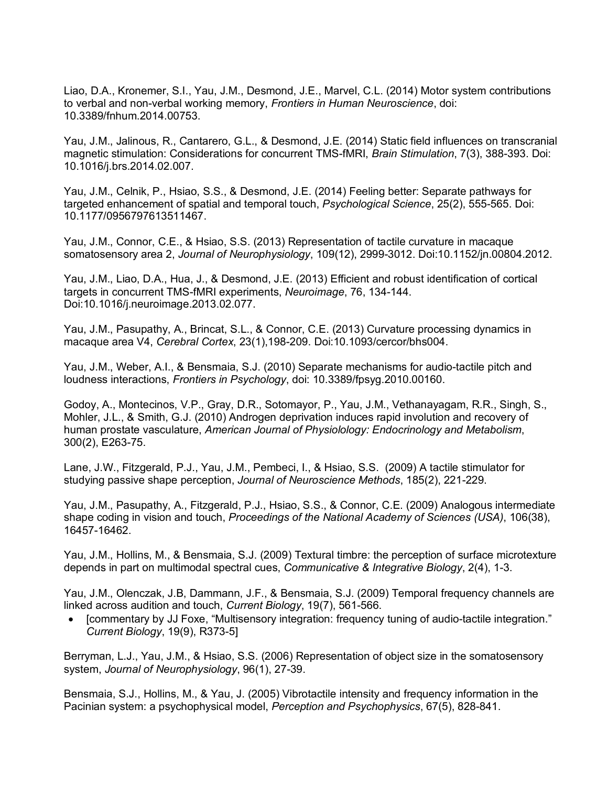Liao, D.A., Kronemer, S.I., Yau, J.M., Desmond, J.E., Marvel, C.L. (2014) Motor system contributions to verbal and non-verbal working memory, *Frontiers in Human Neuroscience*, doi: 10.3389/fnhum.2014.00753.

Yau, J.M., Jalinous, R., Cantarero, G.L., & Desmond, J.E. (2014) Static field influences on transcranial magnetic stimulation: Considerations for concurrent TMS-fMRI, *Brain Stimulation*, 7(3), 388-393. Doi: 10.1016/j.brs.2014.02.007.

Yau, J.M., Celnik, P., Hsiao, S.S., & Desmond, J.E. (2014) Feeling better: Separate pathways for targeted enhancement of spatial and temporal touch, *Psychological Science*, 25(2), 555-565. Doi: 10.1177/0956797613511467.

Yau, J.M., Connor, C.E., & Hsiao, S.S. (2013) Representation of tactile curvature in macaque somatosensory area 2, *Journal of Neurophysiology*, 109(12), 2999-3012. Doi:10.1152/jn.00804.2012.

Yau, J.M., Liao, D.A., Hua, J., & Desmond, J.E. (2013) Efficient and robust identification of cortical targets in concurrent TMS-fMRI experiments, *Neuroimage*, 76, 134-144. Doi:10.1016/j.neuroimage.2013.02.077.

Yau, J.M., Pasupathy, A., Brincat, S.L., & Connor, C.E. (2013) Curvature processing dynamics in macaque area V4, *Cerebral Cortex*, 23(1),198-209. Doi:10.1093/cercor/bhs004.

Yau, J.M., Weber, A.I., & Bensmaia, S.J. (2010) Separate mechanisms for audio-tactile pitch and loudness interactions, *Frontiers in Psychology*, doi: 10.3389/fpsyg.2010.00160.

Godoy, A., Montecinos, V.P., Gray, D.R., Sotomayor, P., Yau, J.M., Vethanayagam, R.R., Singh, S., Mohler, J.L., & Smith, G.J. (2010) Androgen deprivation induces rapid involution and recovery of human prostate vasculature, *American Journal of Physiolology: Endocrinology and Metabolism*, 300(2), E263-75.

Lane, J.W., Fitzgerald, P.J., Yau, J.M., Pembeci, I., & Hsiao, S.S. (2009) A tactile stimulator for studying passive shape perception, *Journal of Neuroscience Methods*, 185(2), 221-229.

Yau, J.M., Pasupathy, A., Fitzgerald, P.J., Hsiao, S.S., & Connor, C.E. (2009) Analogous intermediate shape coding in vision and touch, *Proceedings of the National Academy of Sciences (USA)*, 106(38), 16457-16462.

Yau, J.M., Hollins, M., & Bensmaia, S.J. (2009) Textural timbre: the perception of surface microtexture depends in part on multimodal spectral cues, *Communicative & Integrative Biology*, 2(4), 1-3.

Yau, J.M., Olenczak, J.B, Dammann, J.F., & Bensmaia, S.J. (2009) Temporal frequency channels are linked across audition and touch, *Current Biology*, 19(7), 561-566.

• [commentary by JJ Foxe, "Multisensory integration: frequency tuning of audio-tactile integration." *Current Biology*, 19(9), R373-5]

Berryman, L.J., Yau, J.M., & Hsiao, S.S. (2006) Representation of object size in the somatosensory system, *Journal of Neurophysiology*, 96(1), 27-39.

Bensmaia, S.J., Hollins, M., & Yau, J. (2005) Vibrotactile intensity and frequency information in the Pacinian system: a psychophysical model, *Perception and Psychophysics*, 67(5), 828-841.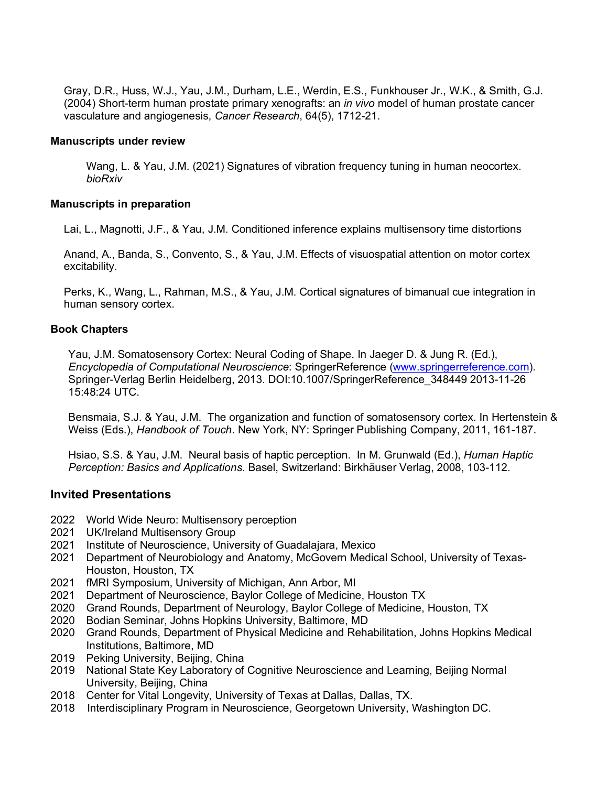Gray, D.R., Huss, W.J., Yau, J.M., Durham, L.E., Werdin, E.S., Funkhouser Jr., W.K., & Smith, G.J. (2004) Short-term human prostate primary xenografts: an *in vivo* model of human prostate cancer vasculature and angiogenesis, *Cancer Research*, 64(5), 1712-21.

### **Manuscripts under review**

Wang, L. & Yau, J.M. (2021) Signatures of vibration frequency tuning in human neocortex. *bioRxiv*

### **Manuscripts in preparation**

Lai, L., Magnotti, J.F., & Yau, J.M. Conditioned inference explains multisensory time distortions

Anand, A., Banda, S., Convento, S., & Yau, J.M. Effects of visuospatial attention on motor cortex excitability.

Perks, K., Wang, L., Rahman, M.S., & Yau, J.M. Cortical signatures of bimanual cue integration in human sensory cortex.

### **Book Chapters**

Yau, J.M. Somatosensory Cortex: Neural Coding of Shape. In Jaeger D. & Jung R. (Ed.), *Encyclopedia of Computational Neuroscience*: SpringerReference (www.springerreference.com). Springer-Verlag Berlin Heidelberg, 2013. DOI:10.1007/SpringerReference\_348449 2013-11-26 15:48:24 UTC.

Bensmaia, S.J. & Yau, J.M. The organization and function of somatosensory cortex. In Hertenstein & Weiss (Eds.), *Handbook of Touch*. New York, NY: Springer Publishing Company, 2011, 161-187.

Hsiao, S.S. & Yau, J.M. Neural basis of haptic perception. In M. Grunwald (Ed.), *Human Haptic Perception: Basics and Applications*. Basel, Switzerland: Birkhäuser Verlag, 2008, 103-112.

### **Invited Presentations**

- 2022 World Wide Neuro: Multisensory perception
- 2021 UK/Ireland Multisensory Group
- 2021 Institute of Neuroscience, University of Guadalajara, Mexico
- 2021 Department of Neurobiology and Anatomy, McGovern Medical School, University of Texas-Houston, Houston, TX
- 2021 fMRI Symposium, University of Michigan, Ann Arbor, MI
- 2021 Department of Neuroscience, Baylor College of Medicine, Houston TX
- 2020 Grand Rounds, Department of Neurology, Baylor College of Medicine, Houston, TX
- 2020 Bodian Seminar, Johns Hopkins University, Baltimore, MD
- 2020 Grand Rounds, Department of Physical Medicine and Rehabilitation, Johns Hopkins Medical Institutions, Baltimore, MD
- 2019 Peking University, Beijing, China
- 2019 National State Key Laboratory of Cognitive Neuroscience and Learning, Beijing Normal University, Beijing, China
- 2018 Center for Vital Longevity, University of Texas at Dallas, Dallas, TX.
- 2018 Interdisciplinary Program in Neuroscience, Georgetown University, Washington DC.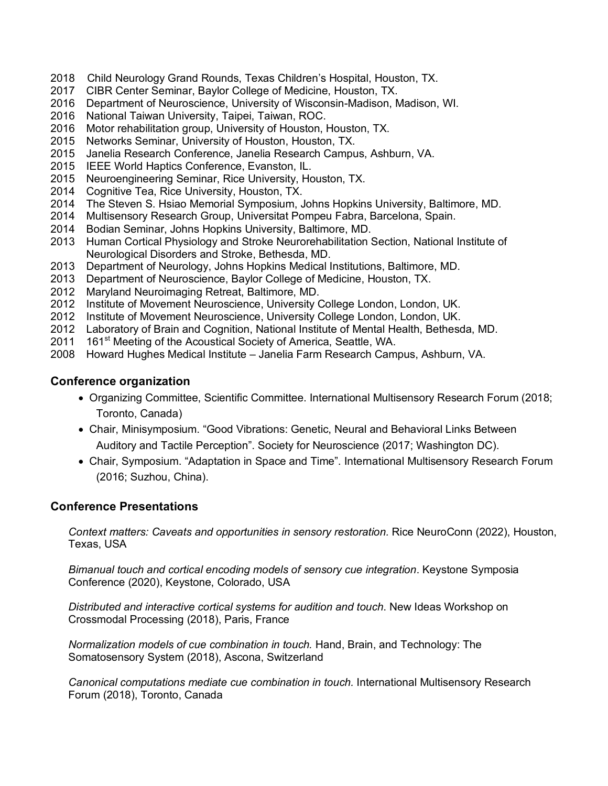- 2018 Child Neurology Grand Rounds, Texas Children's Hospital, Houston, TX.
- 2017 CIBR Center Seminar, Baylor College of Medicine, Houston, TX.
- 2016 Department of Neuroscience, University of Wisconsin-Madison, Madison, WI.
- 2016 National Taiwan University, Taipei, Taiwan, ROC.
- 2016 Motor rehabilitation group, University of Houston, Houston, TX.
- 2015 Networks Seminar, University of Houston, Houston, TX.
- 2015 Janelia Research Conference, Janelia Research Campus, Ashburn, VA.
- 2015 IEEE World Haptics Conference, Evanston, IL.
- 2015 Neuroengineering Seminar, Rice University, Houston, TX.
- 2014 Cognitive Tea, Rice University, Houston, TX.
- 2014 The Steven S. Hsiao Memorial Symposium, Johns Hopkins University, Baltimore, MD.
- 2014 Multisensory Research Group, Universitat Pompeu Fabra, Barcelona, Spain.
- 2014 Bodian Seminar, Johns Hopkins University, Baltimore, MD.
- 2013 Human Cortical Physiology and Stroke Neurorehabilitation Section, National Institute of Neurological Disorders and Stroke, Bethesda, MD.
- 2013 Department of Neurology, Johns Hopkins Medical Institutions, Baltimore, MD.
- 2013 Department of Neuroscience, Baylor College of Medicine, Houston, TX.
- 2012 Maryland Neuroimaging Retreat, Baltimore, MD.
- 2012 Institute of Movement Neuroscience, University College London, London, UK.
- 2012 Institute of Movement Neuroscience, University College London, London, UK.
- 2012 Laboratory of Brain and Cognition, National Institute of Mental Health, Bethesda, MD.
- 2011 161<sup>st</sup> Meeting of the Acoustical Society of America, Seattle, WA.
- 2008 Howard Hughes Medical Institute Janelia Farm Research Campus, Ashburn, VA.

# **Conference organization**

- Organizing Committee, Scientific Committee. International Multisensory Research Forum (2018; Toronto, Canada)
- Chair, Minisymposium. "Good Vibrations: Genetic, Neural and Behavioral Links Between Auditory and Tactile Perception". Society for Neuroscience (2017; Washington DC).
- Chair, Symposium. "Adaptation in Space and Time". International Multisensory Research Forum (2016; Suzhou, China).

# **Conference Presentations**

*Context matters: Caveats and opportunities in sensory restoration.* Rice NeuroConn (2022), Houston, Texas, USA

*Bimanual touch and cortical encoding models of sensory cue integration*. Keystone Symposia Conference (2020), Keystone, Colorado, USA

*Distributed and interactive cortical systems for audition and touch*. New Ideas Workshop on Crossmodal Processing (2018), Paris, France

*Normalization models of cue combination in touch.* Hand, Brain, and Technology: The Somatosensory System (2018), Ascona, Switzerland

*Canonical computations mediate cue combination in touch.* International Multisensory Research Forum (2018), Toronto, Canada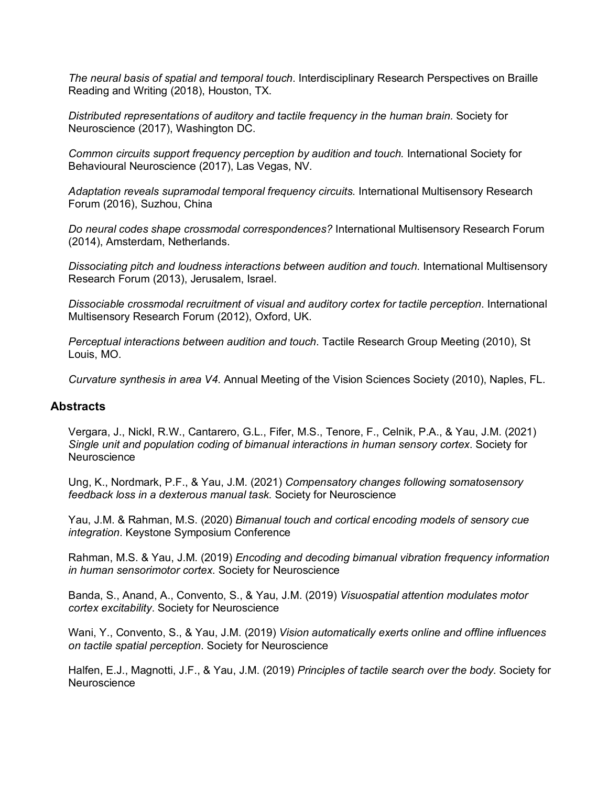*The neural basis of spatial and temporal touch*. Interdisciplinary Research Perspectives on Braille Reading and Writing (2018), Houston, TX.

*Distributed representations of auditory and tactile frequency in the human brain.* Society for Neuroscience (2017), Washington DC.

*Common circuits support frequency perception by audition and touch.* International Society for Behavioural Neuroscience (2017), Las Vegas, NV.

*Adaptation reveals supramodal temporal frequency circuits.* International Multisensory Research Forum (2016), Suzhou, China

*Do neural codes shape crossmodal correspondences?* International Multisensory Research Forum (2014), Amsterdam, Netherlands.

*Dissociating pitch and loudness interactions between audition and touch*. International Multisensory Research Forum (2013), Jerusalem, Israel.

*Dissociable crossmodal recruitment of visual and auditory cortex for tactile perception*. International Multisensory Research Forum (2012), Oxford, UK.

*Perceptual interactions between audition and touch*. Tactile Research Group Meeting (2010), St Louis, MO.

*Curvature synthesis in area V4*. Annual Meeting of the Vision Sciences Society (2010), Naples, FL.

# **Abstracts**

Vergara, J., Nickl, R.W., Cantarero, G.L., Fifer, M.S., Tenore, F., Celnik, P.A., & Yau, J.M. (2021) *Single unit and population coding of bimanual interactions in human sensory cortex*. Society for **Neuroscience** 

Ung, K., Nordmark, P.F., & Yau, J.M. (2021) *Compensatory changes following somatosensory feedback loss in a dexterous manual task*. Society for Neuroscience

Yau, J.M. & Rahman, M.S. (2020) *Bimanual touch and cortical encoding models of sensory cue integration*. Keystone Symposium Conference

Rahman, M.S. & Yau, J.M. (2019) *Encoding and decoding bimanual vibration frequency information in human sensorimotor cortex*. Society for Neuroscience

Banda, S., Anand, A., Convento, S., & Yau, J.M. (2019) *Visuospatial attention modulates motor cortex excitability*. Society for Neuroscience

Wani, Y., Convento, S., & Yau, J.M. (2019) *Vision automatically exerts online and offline influences on tactile spatial perception*. Society for Neuroscience

Halfen, E.J., Magnotti, J.F., & Yau, J.M. (2019) *Principles of tactile search over the body*. Society for **Neuroscience**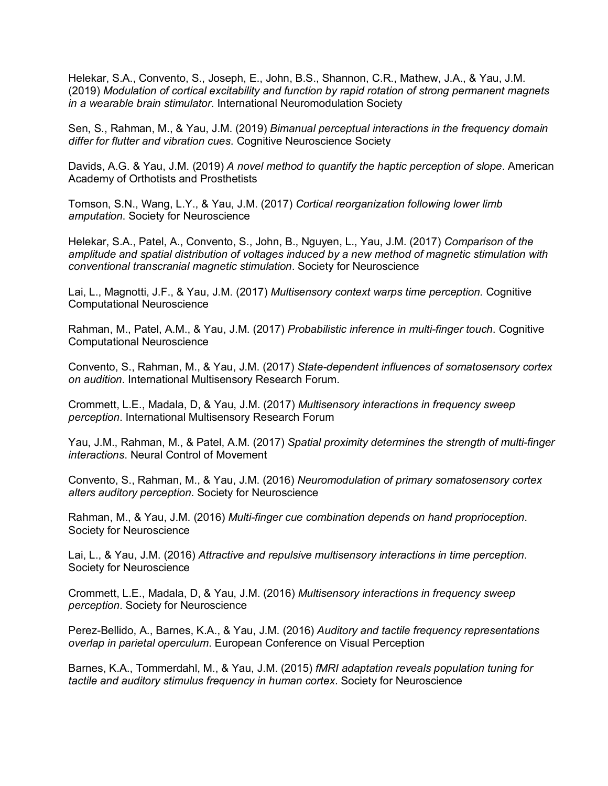Helekar, S.A., Convento, S., Joseph, E., John, B.S., Shannon, C.R., Mathew, J.A., & Yau, J.M. (2019) *Modulation of cortical excitability and function by rapid rotation of strong permanent magnets in a wearable brain stimulator*. International Neuromodulation Society

Sen, S., Rahman, M., & Yau, J.M. (2019) *Bimanual perceptual interactions in the frequency domain differ for flutter and vibration cues*. Cognitive Neuroscience Society

Davids, A.G. & Yau, J.M. (2019) *A novel method to quantify the haptic perception of slope*. American Academy of Orthotists and Prosthetists

Tomson, S.N., Wang, L.Y., & Yau, J.M. (2017) *Cortical reorganization following lower limb amputation*. Society for Neuroscience

Helekar, S.A., Patel, A., Convento, S., John, B., Nguyen, L., Yau, J.M. (2017) *Comparison of the amplitude and spatial distribution of voltages induced by a new method of magnetic stimulation with conventional transcranial magnetic stimulation*. Society for Neuroscience

Lai, L., Magnotti, J.F., & Yau, J.M. (2017) *Multisensory context warps time perception.* Cognitive Computational Neuroscience

Rahman, M., Patel, A.M., & Yau, J.M. (2017) *Probabilistic inference in multi-finger touch*. Cognitive Computational Neuroscience

Convento, S., Rahman, M., & Yau, J.M. (2017) *State-dependent influences of somatosensory cortex on audition*. International Multisensory Research Forum.

Crommett, L.E., Madala, D, & Yau, J.M. (2017) *Multisensory interactions in frequency sweep perception*. International Multisensory Research Forum

Yau, J.M., Rahman, M., & Patel, A.M. (2017) *Spatial proximity determines the strength of multi-finger interactions*. Neural Control of Movement

Convento, S., Rahman, M., & Yau, J.M. (2016) *Neuromodulation of primary somatosensory cortex alters auditory perception*. Society for Neuroscience

Rahman, M., & Yau, J.M. (2016) *Multi-finger cue combination depends on hand proprioception*. Society for Neuroscience

Lai, L., & Yau, J.M. (2016) *Attractive and repulsive multisensory interactions in time perception*. Society for Neuroscience

Crommett, L.E., Madala, D, & Yau, J.M. (2016) *Multisensory interactions in frequency sweep perception*. Society for Neuroscience

Perez-Bellido, A., Barnes, K.A., & Yau, J.M. (2016) *Auditory and tactile frequency representations overlap in parietal operculum*. European Conference on Visual Perception

Barnes, K.A., Tommerdahl, M., & Yau, J.M. (2015) *fMRI adaptation reveals population tuning for tactile and auditory stimulus frequency in human cortex*. Society for Neuroscience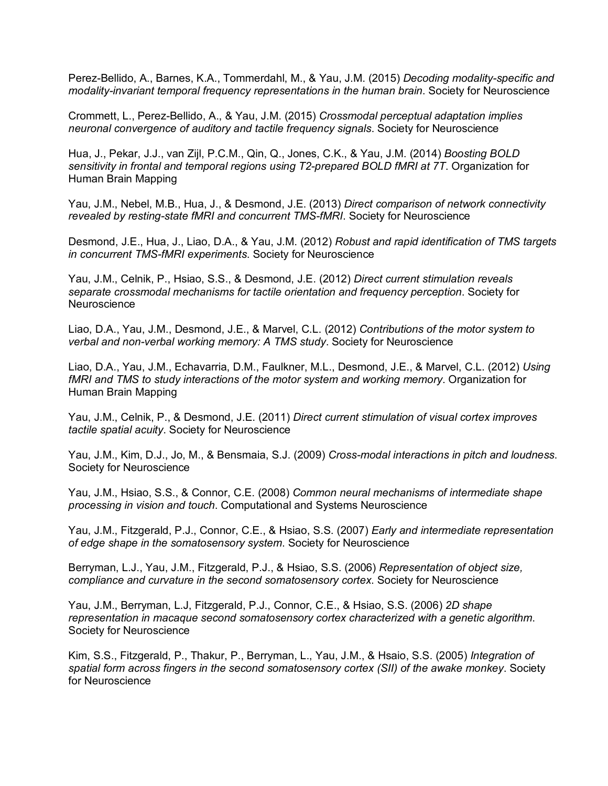Perez-Bellido, A., Barnes, K.A., Tommerdahl, M., & Yau, J.M. (2015) *Decoding modality-specific and modality-invariant temporal frequency representations in the human brain*. Society for Neuroscience

Crommett, L., Perez-Bellido, A., & Yau, J.M. (2015) *Crossmodal perceptual adaptation implies neuronal convergence of auditory and tactile frequency signals*. Society for Neuroscience

Hua, J., Pekar, J.J., van Zijl, P.C.M., Qin, Q., Jones, C.K., & Yau, J.M. (2014) *Boosting BOLD sensitivity in frontal and temporal regions using T2-prepared BOLD fMRI at 7T*. Organization for Human Brain Mapping

Yau, J.M., Nebel, M.B., Hua, J., & Desmond, J.E. (2013) *Direct comparison of network connectivity revealed by resting-state fMRI and concurrent TMS-fMRI*. Society for Neuroscience

Desmond, J.E., Hua, J., Liao, D.A., & Yau, J.M. (2012) *Robust and rapid identification of TMS targets in concurrent TMS-fMRI experiments*. Society for Neuroscience

Yau, J.M., Celnik, P., Hsiao, S.S., & Desmond, J.E. (2012) *Direct current stimulation reveals separate crossmodal mechanisms for tactile orientation and frequency perception*. Society for **Neuroscience** 

Liao, D.A., Yau, J.M., Desmond, J.E., & Marvel, C.L. (2012) *Contributions of the motor system to verbal and non-verbal working memory: A TMS study*. Society for Neuroscience

Liao, D.A., Yau, J.M., Echavarria, D.M., Faulkner, M.L., Desmond, J.E., & Marvel, C.L. (2012) *Using fMRI and TMS to study interactions of the motor system and working memory*. Organization for Human Brain Mapping

Yau, J.M., Celnik, P., & Desmond, J.E. (2011) *Direct current stimulation of visual cortex improves tactile spatial acuity*. Society for Neuroscience

Yau, J.M., Kim, D.J., Jo, M., & Bensmaia, S.J. (2009) *Cross-modal interactions in pitch and loudness*. Society for Neuroscience

Yau, J.M., Hsiao, S.S., & Connor, C.E. (2008) *Common neural mechanisms of intermediate shape processing in vision and touch*. Computational and Systems Neuroscience

Yau, J.M., Fitzgerald, P.J., Connor, C.E., & Hsiao, S.S. (2007) *Early and intermediate representation of edge shape in the somatosensory system*. Society for Neuroscience

Berryman, L.J., Yau, J.M., Fitzgerald, P.J., & Hsiao, S.S. (2006) *Representation of object size, compliance and curvature in the second somatosensory cortex*. Society for Neuroscience

Yau, J.M., Berryman, L.J, Fitzgerald, P.J., Connor, C.E., & Hsiao, S.S. (2006) *2D shape representation in macaque second somatosensory cortex characterized with a genetic algorithm*. Society for Neuroscience

Kim, S.S., Fitzgerald, P., Thakur, P., Berryman, L., Yau, J.M., & Hsaio, S.S. (2005) *Integration of spatial form across fingers in the second somatosensory cortex (SII) of the awake monkey*. Society for Neuroscience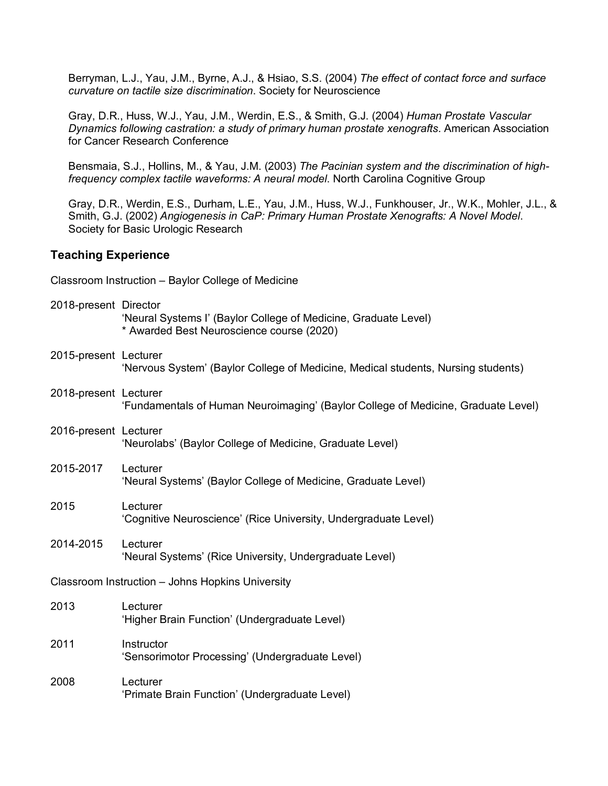Berryman, L.J., Yau, J.M., Byrne, A.J., & Hsiao, S.S. (2004) *The effect of contact force and surface curvature on tactile size discrimination*. Society for Neuroscience

Gray, D.R., Huss, W.J., Yau, J.M., Werdin, E.S., & Smith, G.J. (2004) *Human Prostate Vascular Dynamics following castration: a study of primary human prostate xenografts*. American Association for Cancer Research Conference

Bensmaia, S.J., Hollins, M., & Yau, J.M. (2003) *The Pacinian system and the discrimination of highfrequency complex tactile waveforms: A neural model*. North Carolina Cognitive Group

Gray, D.R., Werdin, E.S., Durham, L.E., Yau, J.M., Huss, W.J., Funkhouser, Jr., W.K., Mohler, J.L., & Smith, G.J. (2002) *Angiogenesis in CaP: Primary Human Prostate Xenografts: A Novel Model*. Society for Basic Urologic Research

## **Teaching Experience**

Classroom Instruction – Baylor College of Medicine

- 2018-present Director 'Neural Systems I' (Baylor College of Medicine, Graduate Level) \* Awarded Best Neuroscience course (2020)
- 2015-present Lecturer 'Nervous System' (Baylor College of Medicine, Medical students, Nursing students) 2018-present Lecturer 'Fundamentals of Human Neuroimaging' (Baylor College of Medicine, Graduate Level)
- 2016-present Lecturer 'Neurolabs' (Baylor College of Medicine, Graduate Level)
- 2015-2017 Lecturer 'Neural Systems' (Baylor College of Medicine, Graduate Level)
- 2015 Lecturer 'Cognitive Neuroscience' (Rice University, Undergraduate Level)
- 2014-2015 Lecturer 'Neural Systems' (Rice University, Undergraduate Level)

Classroom Instruction – Johns Hopkins University

- 2013 Lecturer 'Higher Brain Function' (Undergraduate Level)
- 2011 Instructor 'Sensorimotor Processing' (Undergraduate Level)
- 2008 Lecturer 'Primate Brain Function' (Undergraduate Level)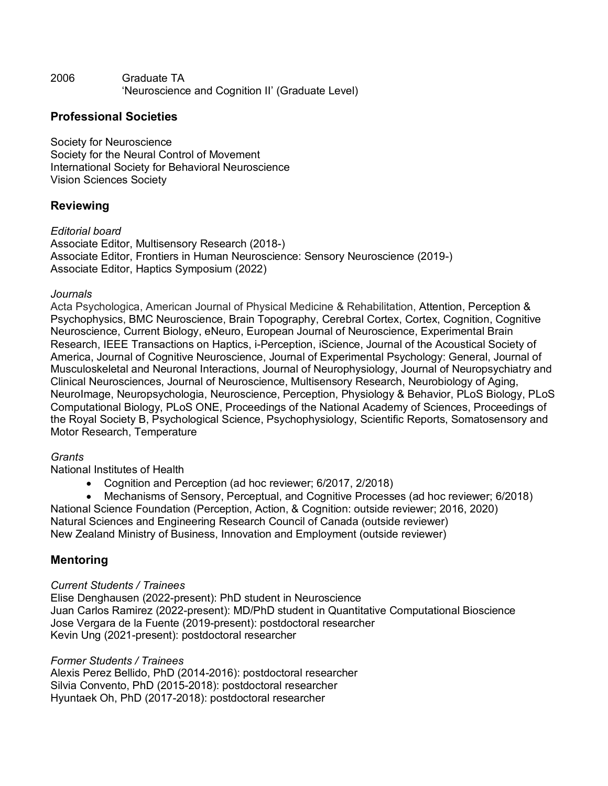2006 Graduate TA 'Neuroscience and Cognition II' (Graduate Level)

# **Professional Societies**

Society for Neuroscience Society for the Neural Control of Movement International Society for Behavioral Neuroscience Vision Sciences Society

# **Reviewing**

*Editorial board* Associate Editor, Multisensory Research (2018-) Associate Editor, Frontiers in Human Neuroscience: Sensory Neuroscience (2019-) Associate Editor, Haptics Symposium (2022)

# *Journals*

Acta Psychologica, American Journal of Physical Medicine & Rehabilitation, Attention, Perception & Psychophysics, BMC Neuroscience, Brain Topography, Cerebral Cortex, Cortex, Cognition, Cognitive Neuroscience, Current Biology, eNeuro, European Journal of Neuroscience, Experimental Brain Research, IEEE Transactions on Haptics, i-Perception, iScience, Journal of the Acoustical Society of America, Journal of Cognitive Neuroscience, Journal of Experimental Psychology: General, Journal of Musculoskeletal and Neuronal Interactions, Journal of Neurophysiology, Journal of Neuropsychiatry and Clinical Neurosciences, Journal of Neuroscience, Multisensory Research, Neurobiology of Aging, NeuroImage, Neuropsychologia, Neuroscience, Perception, Physiology & Behavior, PLoS Biology, PLoS Computational Biology, PLoS ONE, Proceedings of the National Academy of Sciences, Proceedings of the Royal Society B, Psychological Science, Psychophysiology, Scientific Reports, Somatosensory and Motor Research, Temperature

# *Grants*

National Institutes of Health

• Cognition and Perception (ad hoc reviewer; 6/2017, 2/2018)

• Mechanisms of Sensory, Perceptual, and Cognitive Processes (ad hoc reviewer; 6/2018) National Science Foundation (Perception, Action, & Cognition: outside reviewer; 2016, 2020) Natural Sciences and Engineering Research Council of Canada (outside reviewer) New Zealand Ministry of Business, Innovation and Employment (outside reviewer)

# **Mentoring**

# *Current Students / Trainees*

Elise Denghausen (2022-present): PhD student in Neuroscience Juan Carlos Ramirez (2022-present): MD/PhD student in Quantitative Computational Bioscience Jose Vergara de la Fuente (2019-present): postdoctoral researcher Kevin Ung (2021-present): postdoctoral researcher

# *Former Students / Trainees*

Alexis Perez Bellido, PhD (2014-2016): postdoctoral researcher Silvia Convento, PhD (2015-2018): postdoctoral researcher Hyuntaek Oh, PhD (2017-2018): postdoctoral researcher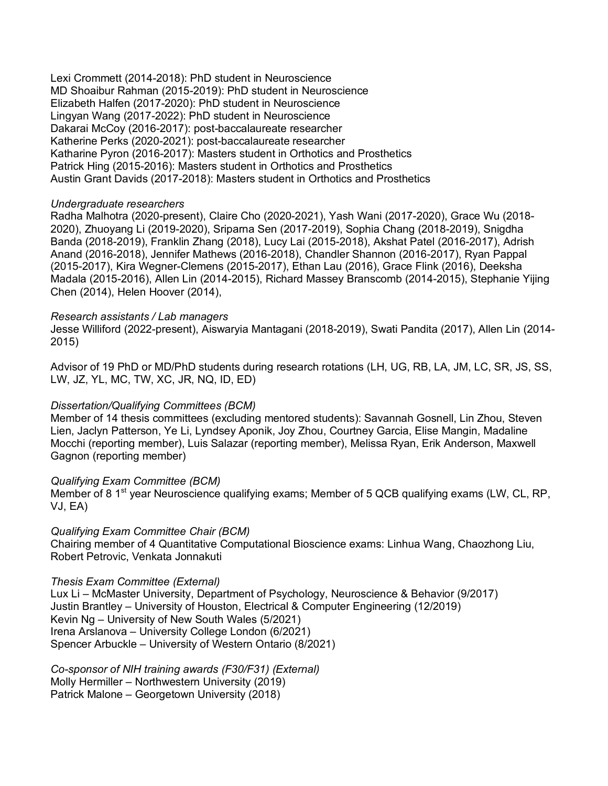Lexi Crommett (2014-2018): PhD student in Neuroscience MD Shoaibur Rahman (2015-2019): PhD student in Neuroscience Elizabeth Halfen (2017-2020): PhD student in Neuroscience Lingyan Wang (2017-2022): PhD student in Neuroscience Dakarai McCoy (2016-2017): post-baccalaureate researcher Katherine Perks (2020-2021): post-baccalaureate researcher Katharine Pyron (2016-2017): Masters student in Orthotics and Prosthetics Patrick Hing (2015-2016): Masters student in Orthotics and Prosthetics Austin Grant Davids (2017-2018): Masters student in Orthotics and Prosthetics

## *Undergraduate researchers*

Radha Malhotra (2020-present), Claire Cho (2020-2021), Yash Wani (2017-2020), Grace Wu (2018- 2020), Zhuoyang Li (2019-2020), Sriparna Sen (2017-2019), Sophia Chang (2018-2019), Snigdha Banda (2018-2019), Franklin Zhang (2018), Lucy Lai (2015-2018), Akshat Patel (2016-2017), Adrish Anand (2016-2018), Jennifer Mathews (2016-2018), Chandler Shannon (2016-2017), Ryan Pappal (2015-2017), Kira Wegner-Clemens (2015-2017), Ethan Lau (2016), Grace Flink (2016), Deeksha Madala (2015-2016), Allen Lin (2014-2015), Richard Massey Branscomb (2014-2015), Stephanie Yijing Chen (2014), Helen Hoover (2014),

## *Research assistants / Lab managers*

Jesse Williford (2022-present), Aiswaryia Mantagani (2018-2019), Swati Pandita (2017), Allen Lin (2014- 2015)

Advisor of 19 PhD or MD/PhD students during research rotations (LH, UG, RB, LA, JM, LC, SR, JS, SS, LW, JZ, YL, MC, TW, XC, JR, NQ, ID, ED)

# *Dissertation/Qualifying Committees (BCM)*

Member of 14 thesis committees (excluding mentored students): Savannah Gosnell, Lin Zhou, Steven Lien, Jaclyn Patterson, Ye Li, Lyndsey Aponik, Joy Zhou, Courtney Garcia, Elise Mangin, Madaline Mocchi (reporting member), Luis Salazar (reporting member), Melissa Ryan, Erik Anderson, Maxwell Gagnon (reporting member)

### *Qualifying Exam Committee (BCM)*

Member of 8 1<sup>st</sup> year Neuroscience qualifying exams; Member of 5 QCB qualifying exams (LW, CL, RP, VJ, EA)

### *Qualifying Exam Committee Chair (BCM)*

Chairing member of 4 Quantitative Computational Bioscience exams: Linhua Wang, Chaozhong Liu, Robert Petrovic, Venkata Jonnakuti

### *Thesis Exam Committee (External)*

Lux Li – McMaster University, Department of Psychology, Neuroscience & Behavior (9/2017) Justin Brantley – University of Houston, Electrical & Computer Engineering (12/2019) Kevin Ng – University of New South Wales (5/2021) Irena Arslanova – University College London (6/2021) Spencer Arbuckle – University of Western Ontario (8/2021)

*Co-sponsor of NIH training awards (F30/F31) (External)* Molly Hermiller – Northwestern University (2019) Patrick Malone – Georgetown University (2018)